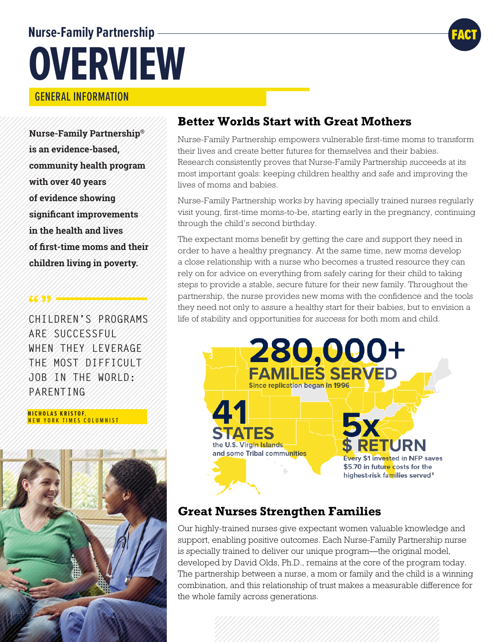# **Nurse-Family Partnership OVERVIEW**

## GENERAL INFORMATION

**Nurse-Family Partnership® is an evidence-based, community health program with over 40 years of evidence showing significant improvements in the health and lives of first-time moms and their children living in poverty.**

**CHILDREN'S PROGRAMS ARE SUCCESSFUL WHEN THEY LEVERAGE THE MOST DIFFICULT JOB IN THE WORLD: PARENTING.**

 **NICHOLAS KRISTOF**, NEW YORK TIMES COLUMNIST

**66/35/1444** 



## **Better Worlds Start with Great Mothers**

Nurse-Family Partnership empowers vulnerable first-time moms to transform their lives and create better futures for themselves and their babies. Research consistently proves that Nurse-Family Partnership succeeds at its most important goals: keeping children healthy and safe and improving the lives of moms and babies.

Nurse-Family Partnership works by having specially trained nurses regularly visit young, first-time moms-to-be, starting early in the pregnancy, continuing through the child's second birthday.

The expectant moms benefit by getting the care and support they need in order to have a healthy pregnancy. At the same time, new moms develop a close relationship with a nurse who becomes a trusted resource they can rely on for advice on everything from safely caring for their child to taking steps to provide a stable, secure future for their new family. Throughout the partnership, the nurse provides new moms with the confidence and the tools they need not only to assure a healthy start for their babies, but to envision a life of stability and opportunities for success for both mom and child.



## **Great Nurses Strengthen Families**

Our highly-trained nurses give expectant women valuable knowledge and support, enabling positive outcomes. Each Nurse-Family Partnership nurse is specially trained to deliver our unique program—the original model, developed by David Olds, Ph.D., remains at the core of the program today. The partnership between a nurse, a mom or family and the child is a winning combination, and this relationship of trust makes a measurable difference for the whole family across generations.